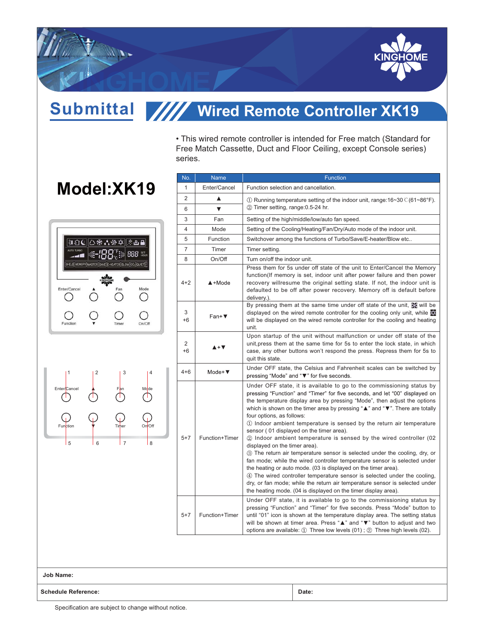

Submittal ////

## **Wired Remote Controller XK19**

• This wired remote controller is intended for Free match (Standard for Free Match Cassette, Duct and Floor Ceiling, except Console series) series.

## **Model:XK19**





| No.            | <b>Name</b>                           | <b>Function</b>                                                                                                                                                                                                                                                                                                                                                                                                                                                                                                                                                                                                                                                                                                                                                                                                                                                                                                                                                                                                                      |
|----------------|---------------------------------------|--------------------------------------------------------------------------------------------------------------------------------------------------------------------------------------------------------------------------------------------------------------------------------------------------------------------------------------------------------------------------------------------------------------------------------------------------------------------------------------------------------------------------------------------------------------------------------------------------------------------------------------------------------------------------------------------------------------------------------------------------------------------------------------------------------------------------------------------------------------------------------------------------------------------------------------------------------------------------------------------------------------------------------------|
| $\mathbf{1}$   | Enter/Cancel                          | Function selection and cancellation.                                                                                                                                                                                                                                                                                                                                                                                                                                                                                                                                                                                                                                                                                                                                                                                                                                                                                                                                                                                                 |
| $\overline{2}$ | ▲                                     | $\textcircled{\scriptsize{1}}$ Running temperature setting of the indoor unit, range:16~30 $\textcirc$ (61~86°F).                                                                                                                                                                                                                                                                                                                                                                                                                                                                                                                                                                                                                                                                                                                                                                                                                                                                                                                    |
| 6              | ▼                                     | 2 Timer setting, range: 0.5-24 hr.                                                                                                                                                                                                                                                                                                                                                                                                                                                                                                                                                                                                                                                                                                                                                                                                                                                                                                                                                                                                   |
| 3              | Fan                                   | Setting of the high/middle/low/auto fan speed.                                                                                                                                                                                                                                                                                                                                                                                                                                                                                                                                                                                                                                                                                                                                                                                                                                                                                                                                                                                       |
| 4              | Mode                                  | Setting of the Cooling/Heating/Fan/Dry/Auto mode of the indoor unit.                                                                                                                                                                                                                                                                                                                                                                                                                                                                                                                                                                                                                                                                                                                                                                                                                                                                                                                                                                 |
| 5              | <b>Function</b>                       | Switchover among the functions of Turbo/Save/E-heater/Blow etc                                                                                                                                                                                                                                                                                                                                                                                                                                                                                                                                                                                                                                                                                                                                                                                                                                                                                                                                                                       |
| $\overline{7}$ | Timer                                 | Timer setting.                                                                                                                                                                                                                                                                                                                                                                                                                                                                                                                                                                                                                                                                                                                                                                                                                                                                                                                                                                                                                       |
| 8              | On/Off                                | Turn on/off the indoor unit.                                                                                                                                                                                                                                                                                                                                                                                                                                                                                                                                                                                                                                                                                                                                                                                                                                                                                                                                                                                                         |
| $4 + 2$        | $\triangle$ +Mode                     | Press them for 5s under off state of the unit to Enter/Cancel the Memory<br>function(If memory is set, indoor unit after power failure and then power<br>recovery willresume the original setting state. If not, the indoor unit is<br>defaulted to be off after power recovery. Memory off is default before<br>delivery.).                                                                                                                                                                                                                                                                                                                                                                                                                                                                                                                                                                                                                                                                                                         |
| 3<br>+6        | $Fan+V$                               | By pressing them at the same time under off state of the unit, we will be<br>displayed on the wired remote controller for the cooling only unit, while<br>will be displayed on the wired remote controller for the cooling and heating<br>unit.                                                                                                                                                                                                                                                                                                                                                                                                                                                                                                                                                                                                                                                                                                                                                                                      |
| 2<br>$+6$      | $\blacktriangle + \blacktriangledown$ | Upon startup of the unit without malfunction or under off state of the<br>unit, press them at the same time for 5s to enter the lock state, in which<br>case, any other buttons won't respond the press. Repress them for 5s to<br>quit this state.                                                                                                                                                                                                                                                                                                                                                                                                                                                                                                                                                                                                                                                                                                                                                                                  |
| $4 + 6$        | Mode+ $\Psi$                          | Under OFF state, the Celsius and Fahrenheit scales can be switched by<br>pressing "Mode" and "▼" for five seconds.                                                                                                                                                                                                                                                                                                                                                                                                                                                                                                                                                                                                                                                                                                                                                                                                                                                                                                                   |
| $5 + 7$        | Function+Timer                        | Under OFF state, it is available to go to the commissioning status by<br>pressing "Function" and "Timer" for five seconds, and let "00" displayed on<br>the temperature display area by pressing "Mode", then adjust the options<br>which is shown on the timer area by pressing "▲" and "▼". There are totally<br>four options, as follows:<br>1) Indoor ambient temperature is sensed by the return air temperature<br>sensor (01 displayed on the timer area).<br>20 Indoor ambient temperature is sensed by the wired controller (02<br>displayed on the timer area).<br>3 The return air temperature sensor is selected under the cooling, dry, or<br>fan mode; while the wired controller temperature sensor is selected under<br>the heating or auto mode. (03 is displayed on the timer area).<br>4) The wired controller temperature sensor is selected under the cooling,<br>dry, or fan mode; while the return air temperature sensor is selected under<br>the heating mode. (04 is displayed on the timer display area). |
| $5+7$          | Function+Timer                        | Under OFF state, it is available to go to the commissioning status by<br>pressing "Function" and "Timer" for five seconds. Press "Mode" button to<br>until "01" icon is shown at the temperature display area. The setting status<br>will be shown at timer area. Press "▲" and "▼" button to adjust and two<br>options are available: $\textcircled{1}$ Three low levels (01); $\textcircled{2}$ Three high levels (02).                                                                                                                                                                                                                                                                                                                                                                                                                                                                                                                                                                                                            |

**Job Name:**

**Schedule Reference: Date:**

Specification are subject to change without notice.